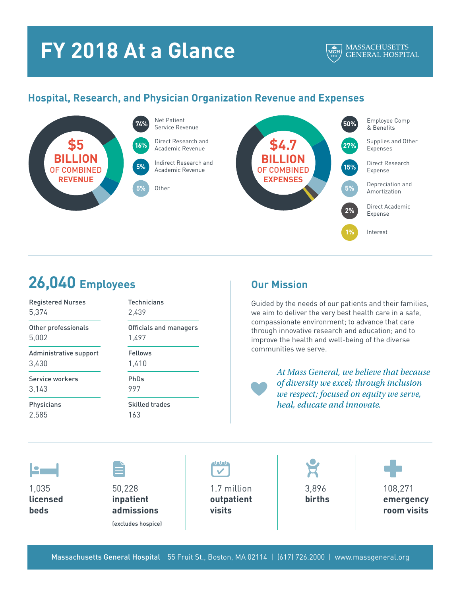# **FY 2018 At a Glance**

#### **MASSACHUSETTS**  $\frac{\triangle}{MGH}$ **GENERAL HOSPITAL**

### **Hospital, Research, and Physician Organization Revenue and Expenses**





## **26,040 Employees**

| <b>Registered Nurses</b> | <b>Technicians</b>     |
|--------------------------|------------------------|
| 5,374                    | 2,439                  |
| Other professionals      | Officials and managers |
| 5,002                    | 1,497                  |
| Administrative support   | Fellows                |
| 3,430                    | 1,410                  |
| Service workers          | PhDs                   |
| 3,143                    | 997                    |
| Physicians               | <b>Skilled trades</b>  |
| 2,585                    | 163                    |
|                          |                        |

1,035 **licensed beds**

50,228 **inpatient admissions**

(excludes hospice)

 $1111$  $\checkmark$ 

1.7 million **outpatient visits**

3,896 **births**

108,271 **emergency room visits**

Massachusetts General Hospital 55 Fruit St., Boston, MA 02114 | (617) 726.2000 | www.massgeneral.org

### **Our Mission**

Guided by the needs of our patients and their families, we aim to deliver the very best health care in a safe, compassionate environment; to advance that care through innovative research and education; and to improve the health and well-being of the diverse communities we serve.

> *At Mass General, we believe that because of diversity we excel; through inclusion we respect; focused on equity we serve, heal, educate and innovate.*